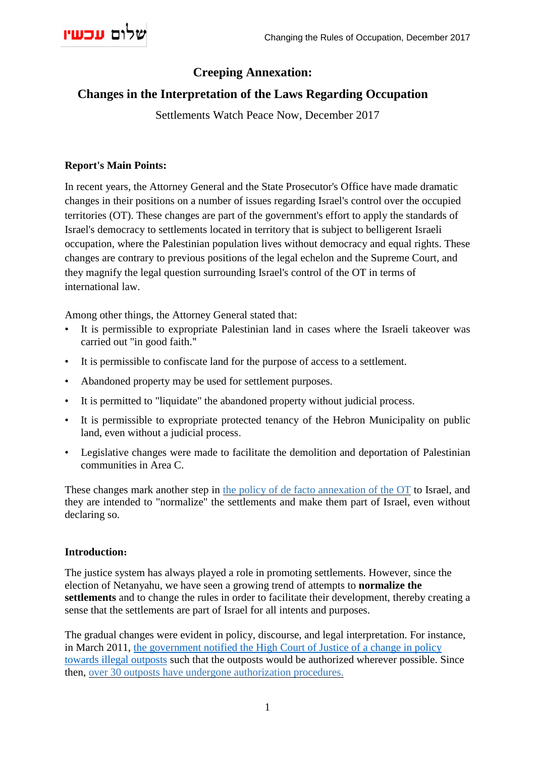# **Creeping Annexation:**

# **Changes in the Interpretation of the Laws Regarding Occupation**

Settlements Watch Peace Now, December 2017

### **Report's Main Points:**

In recent years, the Attorney General and the State Prosecutor's Office have made dramatic changes in their positions on a number of issues regarding Israel's control over the occupied territories (OT). These changes are part of the government's effort to apply the standards of Israel's democracy to settlements located in territory that is subject to belligerent Israeli occupation, where the Palestinian population lives without democracy and equal rights. These changes are contrary to previous positions of the legal echelon and the Supreme Court, and they magnify the legal question surrounding Israel's control of the OT in terms of international law.

Among other things, the Attorney General stated that:

- It is permissible to expropriate Palestinian land in cases where the Israeli takeover was carried out "in good faith."
- It is permissible to confiscate land for the purpose of access to a settlement.
- Abandoned property may be used for settlement purposes.
- It is permitted to "liquidate" the abandoned property without judicial process.
- It is permissible to expropriate protected tenancy of the Hebron Municipality on public land, even without a judicial process.
- Legislative changes were made to facilitate the demolition and deportation of Palestinian communities in Area C.

These changes mark another step in the policy of de facto [annexation](http://peacenow.org.il/en/escalation-in-israels-settlement-policy-the-creation-of-de-facto-annexation) of the OT to Israel, and they are intended to "normalize" the settlements and make them part of Israel, even without declaring so.

### **Introduction:**

The justice system has always played a role in promoting settlements. However, since the election of Netanyahu, we have seen a growing trend of attempts to **normalize the settlements** and to change the rules in order to facilitate their development, thereby creating a sense that the settlements are part of Israel for all intents and purposes.

The gradual changes were evident in policy, discourse, and legal interpretation. For instance, in March 2011, the [government](http://peacenow.org.il/en/the-government-declares-a-new-policy-outposts-on-private-land-will-be-evacuated-and-the-rest-will-be-legalized) notified the High Court of Justice of a change in policy towards illegal [outposts](http://peacenow.org.il/en/the-government-declares-a-new-policy-outposts-on-private-land-will-be-evacuated-and-the-rest-will-be-legalized) such that the outposts would be authorized wherever possible. Since then, over 30 outposts have undergone [authorization](http://peacenow.org.il/en/netanyahu-established-20-new-settlements) procedures.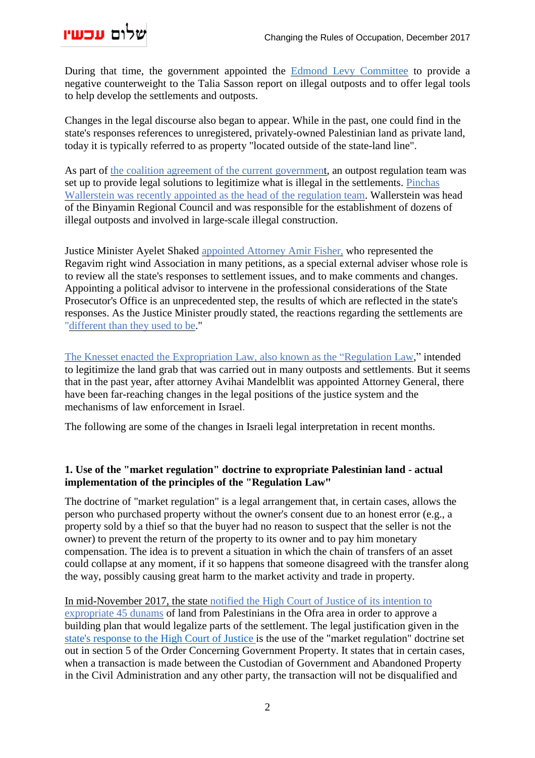

During that time, the government appointed the Edmond Levy [Committee](http://peacenow.org.il/en/the-settlers-have-the-levi-committee) to provide a negative counterweight to the Talia Sasson report on illegal outposts and to offer legal tools to help develop the settlements and outposts.

Changes in the legal discourse also began to appear. While in the past, one could find in the state's responses references to unregistered, privately-owned Palestinian land as private land, today it is typically referred to as property "located outside of the state-land line".

As part of the coalition agreement of the current [government,](http://peacenow.org.il/en/analysis-of-the-coalition-agreement-between-the-likud-the-jewish-home-party) an outpost regulation team was set up to provide legal solutions to legitimize what is illegal in the settlements. [Pinchas](http://www.israelnationalnews.com/News/News.aspx/237251) [Wallerstein](http://www.israelnationalnews.com/News/News.aspx/237251) was recently appointed as the head of the regulation team. Wallerstein was head of the Binyamin Regional Council and was responsible for the establishment of dozens of illegal outposts and involved in large-scale illegal construction.

Justice Minister Ayelet Shaked [appointed](https://www.haaretz.com/israel-news/.premium-1.818427) Attorney Amir Fisher, who represented the Regavim right wind Association in many petitions, as a special external adviser whose role is to review all the state's responses to settlement issues, and to make comments and changes. Appointing a political advisor to intervene in the professional considerations of the State Prosecutor's Office is an unprecedented step, the results of which are reflected in the state's responses. As the Justice Minister proudly stated, the reactions regarding the settlements are ["different](https://www.haaretz.com/israel-news/.premium-1.818427) than they used to be."

The Knesset enacted the [Expropriation](http://peacenow.org.il/en/grand-land-robbery-implications-regulation-bill-reality-ground) Law, also known as the "Regulation Law," intended to legitimize the land grab that was carried out in many outposts and settlements. But it seems that in the past year, after attorney Avihai Mandelblit was appointed Attorney General, there have been far-reaching changes in the legal positions of the justice system and the mechanisms of law enforcement in Israel.

The following are some of the changes in Israeli legal interpretation in recent months.

## **1. Use of the "market regulation" doctrine to expropriate Palestinian land - actual implementation of the principles of the "Regulation Law"**

The doctrine of "market regulation" is a legal arrangement that, in certain cases, allows the person who purchased property without the owner's consent due to an honest error (e.g., a property sold by a thief so that the buyer had no reason to suspect that the seller is not the owner) to prevent the return of the property to its owner and to pay him monetary compensation. The idea is to prevent a situation in which the chain of transfers of an asset could collapse at any moment, if it so happens that someone disagreed with the transfer along the way, possibly causing great harm to the market activity and trade in property.

In [mid-November](https://www.haaretz.com/israel-news/.premium-1.824008) 2017, the state notified the High Court of Justice of its intention to [expropriate](https://www.haaretz.com/israel-news/.premium-1.824008) 45 dunams of land from Palestinians in the Ofra area in order to approve a building plan that would legalize parts of the settlement. The legal justification given in the state's [response](http://peacenow.org.il/wp-content/uploads/2017/11/AG-response-expropriation-law.pdf) to the High Court of Justice is the use of the "market regulation" doctrine set out in section 5 of the Order Concerning Government Property. It states that in certain cases, when a transaction is made between the Custodian of Government and Abandoned Property in the Civil Administration and any other party, the transaction will not be disqualified and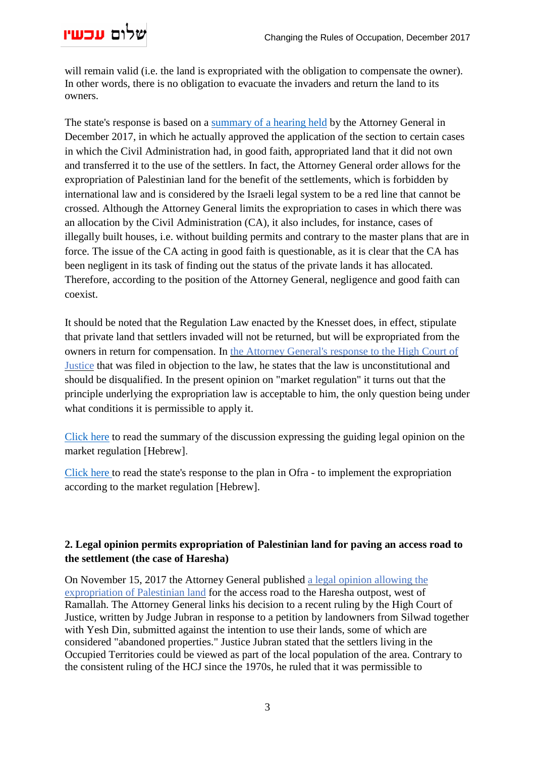

will remain valid (i.e. the land is expropriated with the obligation to compensate the owner). In other words, there is no obligation to evacuate the invaders and return the land to its owners.

The state's response is based on a [summary](http://peacenow.org.il/wp-content/uploads/2017/11/AG-opinion-article5-TakanatHashuk-071216.pdf) of a hearing held by the Attorney General in December 2017, in which he actually approved the application of the section to certain cases in which the Civil Administration had, in good faith, appropriated land that it did not own and transferred it to the use of the settlers. In fact, the Attorney General order allows for the expropriation of Palestinian land for the benefit of the settlements, which is forbidden by international law and is considered by the Israeli legal system to be a red line that cannot be crossed. Although the Attorney General limits the expropriation to cases in which there was an allocation by the Civil Administration (CA), it also includes, for instance, cases of illegally built houses, i.e. without building permits and contrary to the master plans that are in force. The issue of the CA acting in good faith is questionable, as it is clear that the CA has been negligent in its task of finding out the status of the private lands it has allocated. Therefore, according to the position of the Attorney General, negligence and good faith can coexist.

It should be noted that the Regulation Law enacted by the Knesset does, in effect, stipulate that private land that settlers invaded will not be returned, but will be expropriated from the owners in return for compensation. In the Attorney [General's](http://peacenow.org.il/en/attorney-general-responds-to-regularization-law-petition-submitted-by-acri-peace-now-and-yesh-din-to-high-court-of-justice) response to the High Court of [Justice](http://peacenow.org.il/en/attorney-general-responds-to-regularization-law-petition-submitted-by-acri-peace-now-and-yesh-din-to-high-court-of-justice) that was filed in objection to the law, he states that the law is unconstitutional and should be disqualified. In the present opinion on "market regulation" it turns out that the principle underlying the expropriation law is acceptable to him, the only question being under what conditions it is permissible to apply it.

[Click](http://peacenow.org.il/wp-content/uploads/2017/11/AG-opinion-article5-TakanatHashuk-071216.pdf) here to read the summary of the discussion expressing the guiding legal opinion on the market regulation [Hebrew].

[Click](http://peacenow.org.il/wp-content/uploads/2017/11/State-Response-Takanat-Hashuk-Ofra-191117.pdf) here to read the state's response to the plan in Ofra - to implement the expropriation according to the market regulation [Hebrew].

# **2. Legal opinion permits expropriation of Palestinian land for paving an access road to the settlement (the case of Haresha)**

On November 15, 2017 the Attorney General published a legal opinion [allowing](http://peacenow.org.il/en/attorney-general-okays-confiscation-private-palestinian-lands-purpose-settlement) the [expropriation](http://peacenow.org.il/en/attorney-general-okays-confiscation-private-palestinian-lands-purpose-settlement) of Palestinian land for the access road to the Haresha outpost, west of Ramallah. The Attorney General links his decision to a recent ruling by the High Court of Justice, written by Judge Jubran in response to a petition by landowners from Silwad together with Yesh Din, submitted against the intention to use their lands, some of which are considered "abandoned properties." Justice Jubran stated that the settlers living in the Occupied Territories could be viewed as part of the local population of the area. Contrary to the consistent ruling of the HCJ since the 1970s, he ruled that it was permissible to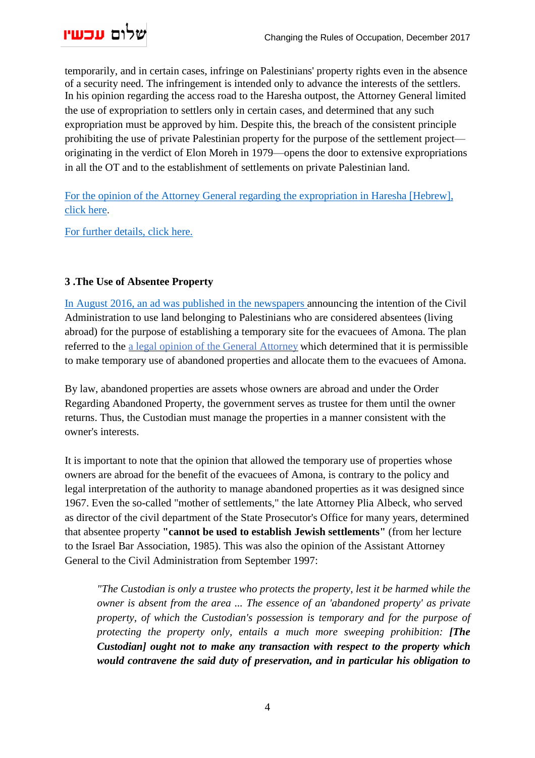

temporarily, and in certain cases, infringe on Palestinians' property rights even in the absence of a security need. The infringement is intended only to advance the interests of the settlers. In his opinion regarding the access road to the Haresha outpost, the Attorney General limited the use of expropriation to settlers only in certain cases, and determined that any such expropriation must be approved by him. Despite this, the breach of the consistent principle prohibiting the use of private Palestinian property for the purpose of the settlement project originating in the verdict of Elon Moreh in 1979—opens the door to extensive expropriations in all the OT and to the establishment of settlements on private Palestinian land.

For the opinion of the Attorney General regarding the expropriation in Haresha [Hebrew], click here.

For further [details,](http://peacenow.org.il/en/attorney-general-okays-confiscation-private-palestinian-lands-purpose-settlement) click here.

## **3 .The Use of Absentee Property**

In August 2016, an ad was [published](http://peacenow.org.il/en/amona-absentees-ad) in the newspapers announcing the intention of the Civil Administration to use land belonging to Palestinians who are considered absentees (living abroad) for the purpose of establishing a temporary site for the evacuees of Amona. The plan referred to the a legal opinion of the General [Attorney](http://peacenow.org.il/wp-content/uploads/2017/11/AG-opinion-Absentees-281116.pdf) which determined that it is permissible to make temporary use of abandoned properties and allocate them to the evacuees of Amona.

By law, abandoned properties are assets whose owners are abroad and under the Order Regarding Abandoned Property, the government serves as trustee for them until the owner returns. Thus, the Custodian must manage the properties in a manner consistent with the owner's interests.

It is important to note that the opinion that allowed the temporary use of properties whose owners are abroad for the benefit of the evacuees of Amona, is contrary to the policy and legal interpretation of the authority to manage abandoned properties as it was designed since 1967. Even the so-called "mother of settlements," the late Attorney Plia Albeck, who served as director of the civil department of the State Prosecutor's Office for many years, determined that absentee property **"cannot be used to establish Jewish settlements"** (from her lecture to the Israel Bar Association, 1985). This was also the opinion of the Assistant Attorney General to the Civil Administration from September 1997:

*"The Custodian is only a trustee who protects the property, lest it be harmed while the owner is absent from the area ... The essence of an 'abandoned property' as private property, of which the Custodian's possession is temporary and for the purpose of protecting the property only, entails a much more sweeping prohibition: [The Custodian] ought not to make any transaction with respect to the property which would contravene the said duty of preservation, and in particular his obligation to*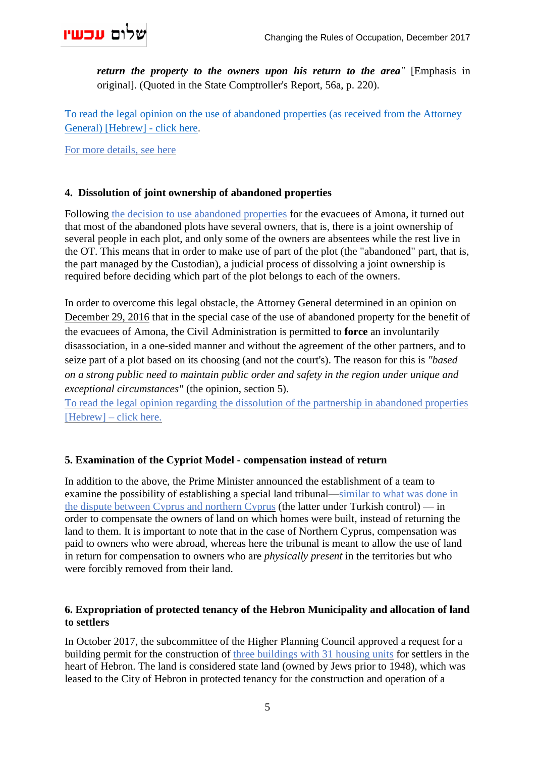

*return the property to the owners upon his return to the area"* [Emphasis in original]. (Quoted in the State Comptroller's Report, 56a, p. 220).

To read the legal opinion on the use of [abandoned](http://peacenow.org.il/wp-content/uploads/2017/11/AG-opinion-Absentees-281116.pdf) properties (as received from the Attorney General) [\[Hebrew\]](http://peacenow.org.il/wp-content/uploads/2017/11/AG-opinion-Absentees-281116.pdf) - click here.

For more [details,](http://peacenow.org.il/wp-content/uploads/2016/08/Amona_Absentees_PeaceNow_ENG.pdf) see here

## **4. Dissolution of joint ownership of abandoned properties**

Following the decision to use [abandoned](http://peacenow.org.il/wp-content/uploads/2016/08/Amona_Absentees_PeaceNow_ENG.pdf) properties for the evacuees of Amona, it turned out that most of the abandoned plots have several owners, that is, there is a joint ownership of several people in each plot, and only some of the owners are absentees while the rest live in the OT. This means that in order to make use of part of the plot (the "abandoned" part, that is, the part managed by the Custodian), a judicial process of dissolving a joint ownership is required before deciding which part of the plot belongs to each of the owners.

In order to overcome this legal obstacle, the Attorney General determined in an [opinion](http://peacenow.org.il/wp-content/uploads/2017/11/AG-opinion-piruk-shutfut-absentees-291216.pdf) on [December](http://peacenow.org.il/wp-content/uploads/2017/11/AG-opinion-piruk-shutfut-absentees-291216.pdf) 29, 2016 that in the special case of the use of abandoned property for the benefit of the evacuees of Amona, the Civil Administration is permitted to **force** an involuntarily disassociation, in a one-sided manner and without the agreement of the other partners, and to seize part of a plot based on its choosing (and not the court's). The reason for this is *"based on a strong public need to maintain public order and safety in the region under unique and exceptional circumstances"* (the opinion, section 5).

To read the legal opinion regarding the dissolution of the [partnership](http://peacenow.org.il/wp-content/uploads/2017/11/AG-opinion-piruk-shutfut-absentees-291216.pdf) in abandoned properties  $[Hebrew]$  – click here.

### **5. Examination of the Cypriot Model - compensation instead of return**

In addition to the above, the Prime Minister announced the establishment of a team to examine the possibility of establishing a special land tribunal[—similar](https://www.haaretz.com/israel-news/1.754136) to what was done in the dispute between Cyprus and [northern](https://www.haaretz.com/israel-news/1.754136) Cyprus (the latter under Turkish control) — in order to compensate the owners of land on which homes were built, instead of returning the land to them. It is important to note that in the case of Northern Cyprus, compensation was paid to owners who were abroad, whereas here the tribunal is meant to allow the use of land in return for compensation to owners who are *physically present* in the territories but who were forcibly removed from their land.

## **6. Expropriation of protected tenancy of the Hebron Municipality and allocation of land to settlers**

In October 2017, the subcommittee of the Higher Planning Council approved a request for a building permit for the construction of three [buildings](http://peacenow.org.il/en/new-plan-settlement-hebron) with 31 housing units for settlers in the heart of Hebron. The land is considered state land (owned by Jews prior to 1948), which was leased to the City of Hebron in protected tenancy for the construction and operation of a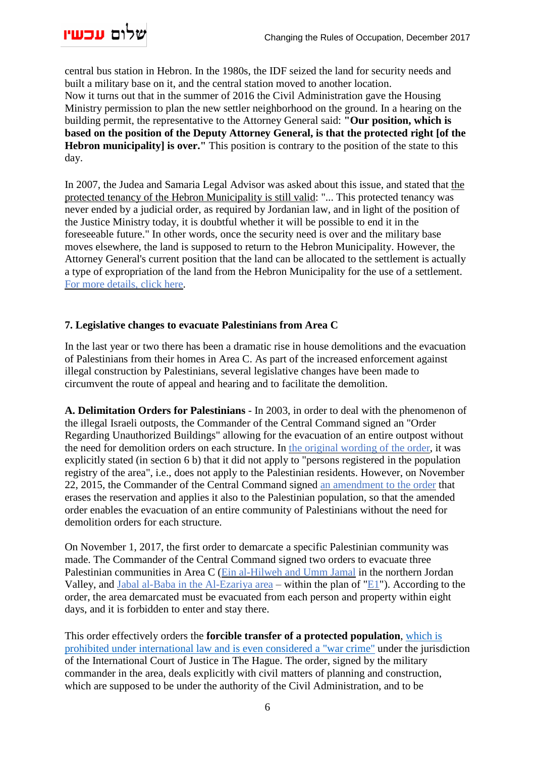

central bus station in Hebron. In the 1980s, the IDF seized the land for security needs and built a military base on it, and the central station moved to another location. Now it turns out that in the summer of 2016 the Civil Administration gave the Housing Ministry permission to plan the new settler neighborhood on the ground. In a hearing on the building permit, the representative to the Attorney General said: **"Our position, which is based on the position of the Deputy Attorney General, is that the protected right [of the Hebron municipality] is over."** This position is contrary to the position of the state to this day.

In 2007, the Judea and Samaria Legal Advisor was asked about this issue, and stated that [the](http://peacenow.org.il/wp-content/uploads/2016/08/%2525D7%252597%2525D7%252595%2525D7%252595%2525D7%252593-%2525D7%252599%2525D7%252595%2525D7%2525A2%2525D7%25259E%2525D7%2525A9-%2525D7%252590%2525D7%252599%2525D7%252595%2525D7%2525A9-%2525D7%2525A9%2525D7%2525A8%2525D7%252595%2525D7%25259F-%2525D7%252590%2525D7%2525A4%2525D7%2525A7-070607.pdf) protected tenancy of the Hebron [Municipality](http://peacenow.org.il/wp-content/uploads/2016/08/%2525D7%252597%2525D7%252595%2525D7%252595%2525D7%252593-%2525D7%252599%2525D7%252595%2525D7%2525A2%2525D7%25259E%2525D7%2525A9-%2525D7%252590%2525D7%252599%2525D7%252595%2525D7%2525A9-%2525D7%2525A9%2525D7%2525A8%2525D7%252595%2525D7%25259F-%2525D7%252590%2525D7%2525A4%2525D7%2525A7-070607.pdf) is still valid: "... This protected tenancy was never ended by a judicial order, as required by Jordanian law, and in light of the position of the Justice Ministry today, it is doubtful whether it will be possible to end it in the foreseeable future." In other words, once the security need is over and the military base moves elsewhere, the land is supposed to return to the Hebron Municipality. However, the Attorney General's current position that the land can be allocated to the settlement is actually a type of expropriation of the land from the Hebron Municipality for the use of a settlement. For more [details,](http://peacenow.org.il/en/new-plan-settlement-hebron) click here.

## **7. Legislative changes to evacuate Palestinians from Area C**

In the last year or two there has been a dramatic rise in house demolitions and the evacuation of Palestinians from their homes in Area C. As part of the increased enforcement against illegal construction by Palestinians, several legislative changes have been made to circumvent the route of appeal and hearing and to facilitate the demolition.

**A. Delimitation Orders for Palestinians** - In 2003, in order to deal with the phenomenon of the illegal Israeli outposts, the Commander of the Central Command signed an "Order Regarding Unauthorized Buildings" allowing for the evacuation of an entire outpost without the need for demolition orders on each structure. In the original [wording](https://www.aka.idf.il/SIP_STORAGE/FILES/8/60628.pdf) of the order, it was explicitly stated (in section 6 b) that it did not apply to "persons registered in the population registry of the area", i.e., does not apply to the Palestinian residents. However, on November 22, 2015, the Commander of the Central Command signed an [amendment](http://www.law.idf.il/SIP_STORAGE/files/3/1763.pdf) to the order that erases the reservation and applies it also to the Palestinian population, so that the amended order enables the evacuation of an entire community of Palestinians without the need for demolition orders for each structure.

On November 1, 2017, the first order to demarcate a specific Palestinian community was made. The Commander of the Central Command signed two orders to evacuate three Palestinian communities in Area C (Ein [al-Hilweh](https://www.timesofisrael.com/idf-issues-evacuation-order-to-jordan-valley-palestinian-shepherd-community/) and Umm Jamal in the northern Jordan Valley, and Jabal al-Baba in the [Al-Ezariya](https://www.haaretz.com/israel-news/.premium-1.823358) area – within the plan of ["E1"](http://archive.peacenow.org/entries/archive749)). According to the order, the area demarcated must be evacuated from each person and property within eight days, and it is forbidden to enter and stay there.

This order effectively orders the **forcible transfer of a protected population**, [which](https://www.acri.org.il/en/2017/11/15/escalation-in-area-c-new-order-in-northern-jordan-valley-and-increased-use-of-confiscation-orders-create-a-threat-of-forcible-transfer/) is prohibited under [international](https://www.acri.org.il/en/2017/11/15/escalation-in-area-c-new-order-in-northern-jordan-valley-and-increased-use-of-confiscation-orders-create-a-threat-of-forcible-transfer/) law and is even considered a "war crime" under the jurisdiction of the International Court of Justice in The Hague. The order, signed by the military commander in the area, deals explicitly with civil matters of planning and construction, which are supposed to be under the authority of the Civil Administration, and to be